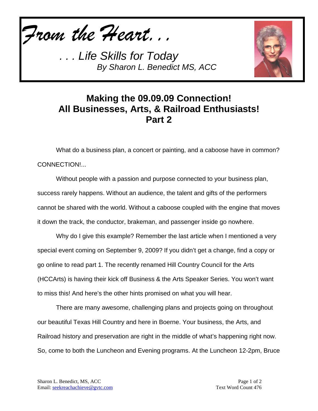*From the Heart...*



## **Making the 09.09.09 Connection! All Businesses, Arts, & Railroad Enthusiasts! Part 2**

What do a business plan, a concert or painting, and a caboose have in common? CONNECTION!...

Without people with a passion and purpose connected to your business plan, success rarely happens. Without an audience, the talent and gifts of the performers cannot be shared with the world. Without a caboose coupled with the engine that moves it down the track, the conductor, brakeman, and passenger inside go nowhere.

Why do I give this example? Remember the last article when I mentioned a very special event coming on September 9, 2009? If you didn't get a change, find a copy or go online to read part 1. The recently renamed Hill Country Council for the Arts (HCCArts) is having their kick off Business & the Arts Speaker Series. You won't want to miss this! And here's the other hints promised on what you will hear.

There are many awesome, challenging plans and projects going on throughout our beautiful Texas Hill Country and here in Boerne. Your business, the Arts, and Railroad history and preservation are right in the middle of what's happening right now. So, come to both the Luncheon and Evening programs. At the Luncheon 12-2pm, Bruce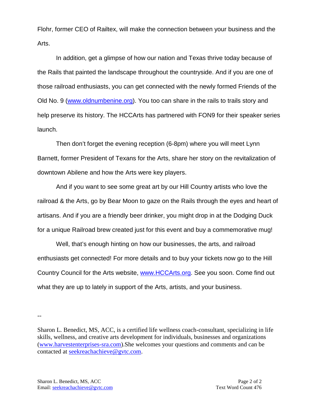Flohr, former CEO of Railtex, will make the connection between your business and the Arts.

In addition, get a glimpse of how our nation and Texas thrive today because of the Rails that painted the landscape throughout the countryside. And if you are one of those railroad enthusiasts, you can get connected with the newly formed Friends of the Old No. 9 [\(www.oldnumbenine.org\)](http://www.oldnumbenine.org/). You too can share in the rails to trails story and help preserve its history. The HCCArts has partnered with FON9 for their speaker series launch.

Then don't forget the evening reception (6-8pm) where you will meet Lynn Barnett, former President of Texans for the Arts, share her story on the revitalization of downtown Abilene and how the Arts were key players.

And if you want to see some great art by our Hill Country artists who love the railroad & the Arts, go by Bear Moon to gaze on the Rails through the eyes and heart of artisans. And if you are a friendly beer drinker, you might drop in at the Dodging Duck for a unique Railroad brew created just for this event and buy a commemorative mug!

Well, that's enough hinting on how our businesses, the arts, and railroad enthusiasts get connected! For more details and to buy your tickets now go to the Hill Country Council for the Arts website, [www.HCCArts.org.](http://www.hccarts.org/) See you soon. Come find out what they are up to lately in support of the Arts, artists, and your business.

--

Sharon L. Benedict, MS, ACC, is a certified life wellness coach-consultant, specializing in life skills, wellness, and creative arts development for individuals, businesses and organizations [\(www.harvestenterprises-sra.com\)](http://www.harvestenterprises-sra.com/).She welcomes your questions and comments and can be contacted at [seekreachachieve@gvtc.com.](mailto:seekreachachieve@gvtc.com)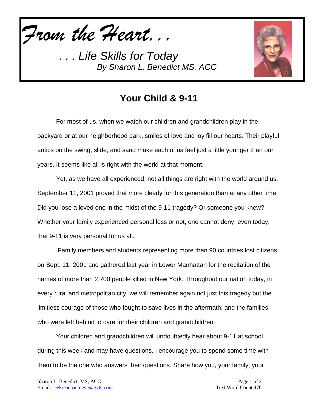*From the Heart...*



## **Your Child & 9-11**

For most of us, when we watch our children and grandchildren play in the backyard or at our neighborhood park, smiles of love and joy fill our hearts. Their playful antics on the swing, slide, and sand make each of us feel just a little younger than our years. It seems like all is right with the world at that moment.

Yet, as we have all experienced, not all things are right with the world around us. September 11, 2001 proved that more clearly for this generation than at any other time. Did you lose a loved one in the midst of the 9-11 tragedy? Or someone you knew? Whether your family experienced personal loss or not, one cannot deny, even today, that 9-11 is very personal for us all.

Family members and students representing more than 90 countries lost citizens on Sept. 11, 2001 and gathered last year in Lower Manhattan for the recitation of the names of more than 2,700 people killed in New York. Throughout our nation today, in every rural and metropolitan city, we will remember again not just this tragedy but the limitless courage of those who fought to save lives in the aftermath; and the families who were left behind to care for their children and grandchildren.

Your children and grandchildren will undoubtedly hear about 9-11 at school during this week and may have questions. I encourage you to spend some time with them to be the one who answers their questions. Share how you, your family, your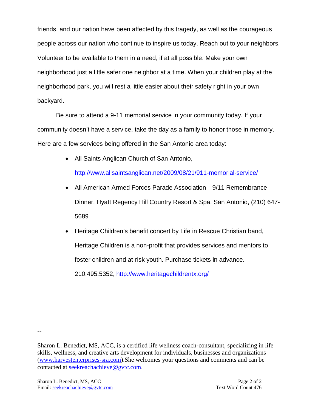friends, and our nation have been affected by this tragedy, as well as the courageous people across our nation who continue to inspire us today. Reach out to your neighbors. Volunteer to be available to them in a need, if at all possible. Make your own neighborhood just a little safer one neighbor at a time. When your children play at the neighborhood park, you will rest a little easier about their safety right in your own backyard.

Be sure to attend a 9-11 memorial service in your community today. If your community doesn't have a service, take the day as a family to honor those in memory. Here are a few services being offered in the San Antonio area today:

• All Saints Anglican Church of San Antonio,

<http://www.allsaintsanglican.net/2009/08/21/911-memorial-service/>

- All American Armed Forces Parade Association—9/11 Remembrance Dinner, Hyatt Regency Hill Country Resort & Spa, San Antonio, (210) 647- 5689
- Heritage Children's benefit concert by Life in Rescue Christian band, Heritage Children is a non-profit that provides services and mentors to foster children and at-risk youth. Purchase tickets in advance.

210.495.5352,<http://www.heritagechildrentx.org/>

--

Sharon L. Benedict, MS, ACC, is a certified life wellness coach-consultant, specializing in life skills, wellness, and creative arts development for individuals, businesses and organizations [\(www.harvestenterprises-sra.com\)](http://www.harvestenterprises-sra.com/).She welcomes your questions and comments and can be contacted at [seekreachachieve@gvtc.com.](mailto:seekreachachieve@gvtc.com)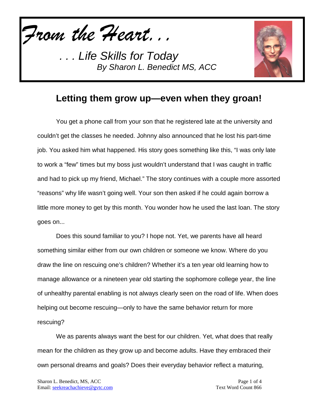*From the Heart...*



## **Letting them grow up—even when they groan!**

You get a phone call from your son that he registered late at the university and couldn't get the classes he needed. Johnny also announced that he lost his part-time job. You asked him what happened. His story goes something like this, "I was only late to work a "few" times but my boss just wouldn't understand that I was caught in traffic and had to pick up my friend, Michael." The story continues with a couple more assorted "reasons" why life wasn't going well. Your son then asked if he could again borrow a little more money to get by this month. You wonder how he used the last loan. The story goes on...

Does this sound familiar to you? I hope not. Yet, we parents have all heard something similar either from our own children or someone we know. Where do you draw the line on rescuing one's children? Whether it's a ten year old learning how to manage allowance or a nineteen year old starting the sophomore college year, the line of unhealthy parental enabling is not always clearly seen on the road of life. When does helping out become rescuing—only to have the same behavior return for more rescuing?

We as parents always want the best for our children. Yet, what does that really mean for the children as they grow up and become adults. Have they embraced their own personal dreams and goals? Does their everyday behavior reflect a maturing,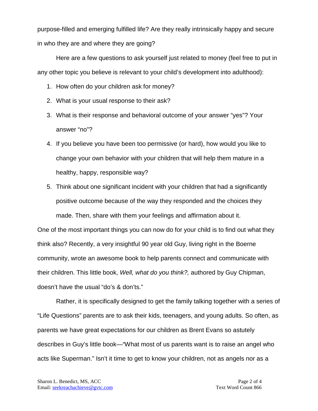purpose-filled and emerging fulfilled life? Are they really intrinsically happy and secure in who they are and where they are going?

Here are a few questions to ask yourself just related to money (feel free to put in any other topic you believe is relevant to your child's development into adulthood):

- 1. How often do your children ask for money?
- 2. What is your usual response to their ask?
- 3. What is their response and behavioral outcome of your answer "yes"? Your answer "no"?
- 4. If you believe you have been too permissive (or hard), how would you like to change your own behavior with your children that will help them mature in a healthy, happy, responsible way?
- 5. Think about one significant incident with your children that had a significantly positive outcome because of the way they responded and the choices they made. Then, share with them your feelings and affirmation about it.

One of the most important things you can now do for your child is to find out what they think also? Recently, a very insightful 90 year old Guy, living right in the Boerne community, wrote an awesome book to help parents connect and communicate with their children. This little book, *Well, what do you think?,* authored by Guy Chipman, doesn't have the usual "do's & don'ts."

Rather, it is specifically designed to get the family talking together with a series of "Life Questions" parents are to ask their kids, teenagers, and young adults. So often, as parents we have great expectations for our children as Brent Evans so astutely describes in Guy's little book—"What most of us parents want is to raise an angel who acts like Superman." Isn't it time to get to know your children, not as angels nor as a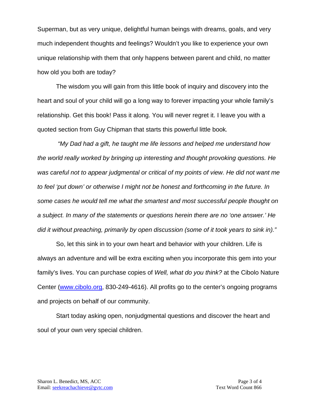Superman, but as very unique, delightful human beings with dreams, goals, and very much independent thoughts and feelings? Wouldn't you like to experience your own unique relationship with them that only happens between parent and child, no matter how old you both are today?

The wisdom you will gain from this little book of inquiry and discovery into the heart and soul of your child will go a long way to forever impacting your whole family's relationship. Get this book! Pass it along. You will never regret it. I leave you with a quoted section from Guy Chipman that starts this powerful little book*.*

*"My Dad had a gift, he taught me life lessons and helped me understand how the world really worked by bringing up interesting and thought provoking questions. He*  was careful not to appear judgmental or critical of my points of view. He did not want me *to feel 'put down' or otherwise I might not be honest and forthcoming in the future. In some cases he would tell me what the smartest and most successful people thought on a subject. In many of the statements or questions herein there are no 'one answer.' He did it without preaching, primarily by open discussion (some of it took years to sink in)."* 

So, let this sink in to your own heart and behavior with your children. Life is always an adventure and will be extra exciting when you incorporate this gem into your family's lives. You can purchase copies of *Well, what do you think?* at the Cibolo Nature Center [\(www.cibolo.org,](http://www.cibolo.org/) 830-249-4616). All profits go to the center's ongoing programs and projects on behalf of our community.

Start today asking open, nonjudgmental questions and discover the heart and soul of your own very special children.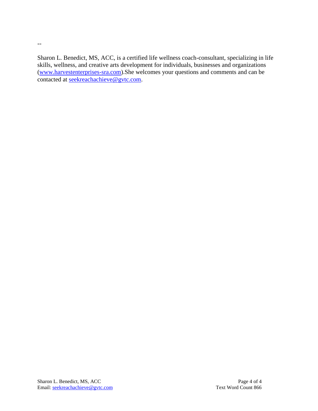Sharon L. Benedict, MS, ACC, is a certified life wellness coach-consultant, specializing in life skills, wellness, and creative arts development for individuals, businesses and organizations [\(www.harvestenterprises-sra.com\)](http://www.harvestenterprises-sra.com/).She welcomes your questions and comments and can be contacted at [seekreachachieve@gvtc.com.](mailto:seekreachachieve@gvtc.com)

--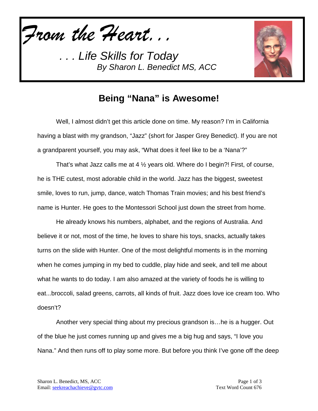*From the Heart...*



## **Being "Nana" is Awesome!**

Well, I almost didn't get this article done on time. My reason? I'm in California having a blast with my grandson, "Jazz" (short for Jasper Grey Benedict). If you are not a grandparent yourself, you may ask, "What does it feel like to be a 'Nana'?"

That's what Jazz calls me at 4 ½ years old. Where do I begin?! First, of course, he is THE cutest, most adorable child in the world. Jazz has the biggest, sweetest smile, loves to run, jump, dance, watch Thomas Train movies; and his best friend's name is Hunter. He goes to the Montessori School just down the street from home.

He already knows his numbers, alphabet, and the regions of Australia. And believe it or not, most of the time, he loves to share his toys, snacks, actually takes turns on the slide with Hunter. One of the most delightful moments is in the morning when he comes jumping in my bed to cuddle, play hide and seek, and tell me about what he wants to do today. I am also amazed at the variety of foods he is willing to eat...broccoli, salad greens, carrots, all kinds of fruit. Jazz does love ice cream too. Who doesn't?

Another very special thing about my precious grandson is…he is a hugger. Out of the blue he just comes running up and gives me a big hug and says, "I love you Nana." And then runs off to play some more. But before you think I've gone off the deep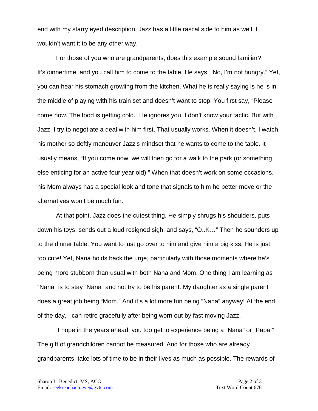end with my starry eyed description, Jazz has a little rascal side to him as well. I wouldn't want it to be any other way.

For those of you who are grandparents, does this example sound familiar? It's dinnertime, and you call him to come to the table. He says, "No, I'm not hungry." Yet, you can hear his stomach growling from the kitchen. What he is really saying is he is in the middle of playing with his train set and doesn't want to stop. You first say, "Please come now. The food is getting cold." He ignores you. I don't know your tactic. But with Jazz, I try to negotiate a deal with him first. That usually works. When it doesn't, I watch his mother so deftly maneuver Jazz's mindset that he wants to come to the table. It usually means, "If you come now, we will then go for a walk to the park (or something else enticing for an active four year old)." When that doesn't work on some occasions, his Mom always has a special look and tone that signals to him he better move or the alternatives won't be much fun.

At that point, Jazz does the cutest thing. He simply shrugs his shoulders, puts down his toys, sends out a loud resigned sigh, and says, "O..K…" Then he sounders up to the dinner table. You want to just go over to him and give him a big kiss. He is just too cute! Yet, Nana holds back the urge, particularly with those moments where he's being more stubborn than usual with both Nana and Mom. One thing I am learning as "Nana" is to stay "Nana" and not try to be his parent. My daughter as a single parent does a great job being "Mom." And it's a lot more fun being "Nana" anyway! At the end of the day, I can retire gracefully after being worn out by fast moving Jazz.

I hope in the years ahead, you too get to experience being a "Nana" or "Papa." The gift of grandchildren cannot be measured. And for those who are already grandparents, take lots of time to be in their lives as much as possible. The rewards of